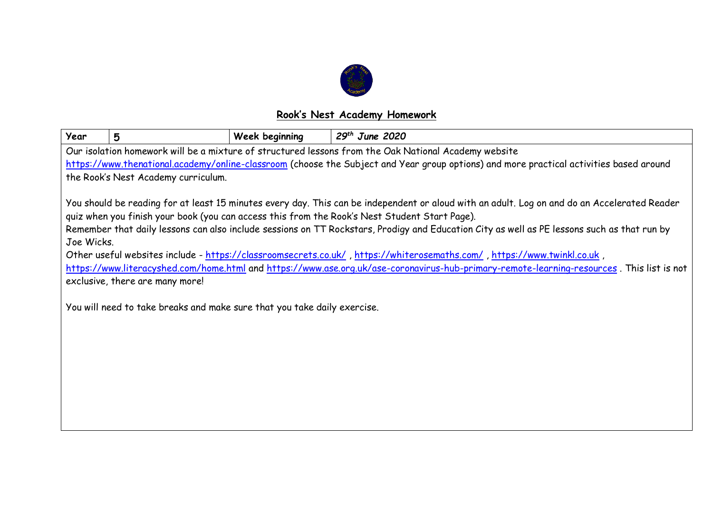

## **Rook's Nest Academy Homework**

| Year                                                                                                                                                                                                                                                                                                                                                                                                                                                                                                                                                                                                                                                                                                                                                                                              | 5                                                                                                    | Week beginning | $29th$ June 2020 |  |  |  |  |  |
|---------------------------------------------------------------------------------------------------------------------------------------------------------------------------------------------------------------------------------------------------------------------------------------------------------------------------------------------------------------------------------------------------------------------------------------------------------------------------------------------------------------------------------------------------------------------------------------------------------------------------------------------------------------------------------------------------------------------------------------------------------------------------------------------------|------------------------------------------------------------------------------------------------------|----------------|------------------|--|--|--|--|--|
|                                                                                                                                                                                                                                                                                                                                                                                                                                                                                                                                                                                                                                                                                                                                                                                                   | Our isolation homework will be a mixture of structured lessons from the Oak National Academy website |                |                  |  |  |  |  |  |
| https://www.thenational.academy/online-classroom (choose the Subject and Year group options) and more practical activities based around                                                                                                                                                                                                                                                                                                                                                                                                                                                                                                                                                                                                                                                           |                                                                                                      |                |                  |  |  |  |  |  |
| the Rook's Nest Academy curriculum.                                                                                                                                                                                                                                                                                                                                                                                                                                                                                                                                                                                                                                                                                                                                                               |                                                                                                      |                |                  |  |  |  |  |  |
| You should be reading for at least 15 minutes every day. This can be independent or aloud with an adult. Log on and do an Accelerated Reader<br>quiz when you finish your book (you can access this from the Rook's Nest Student Start Page).<br>Remember that daily lessons can also include sessions on TT Rockstars, Prodigy and Education City as well as PE lessons such as that run by<br>Joe Wicks.<br>Other useful websites include - https://classroomsecrets.co.uk/, https://whiterosemaths.com/, https://www.twinkl.co.uk,<br>https://www.literacyshed.com/home.html and https://www.ase.org.uk/ase-coronavirus-hub-primary-remote-learning-resources. This list is not<br>exclusive, there are many more!<br>You will need to take breaks and make sure that you take daily exercise. |                                                                                                      |                |                  |  |  |  |  |  |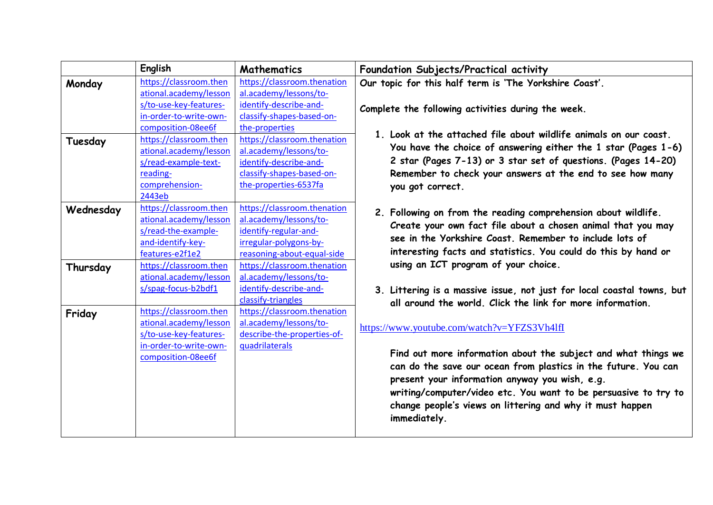|           | English                | <b>Mathematics</b>          | Foundation Subjects/Practical activity                                                                 |
|-----------|------------------------|-----------------------------|--------------------------------------------------------------------------------------------------------|
| Monday    | https://classroom.then | https://classroom.thenation | Our topic for this half term is 'The Yorkshire Coast'.                                                 |
|           | ational.academy/lesson | al.academy/lessons/to-      |                                                                                                        |
|           | s/to-use-key-features- | identify-describe-and-      | Complete the following activities during the week.                                                     |
|           | in-order-to-write-own- | classify-shapes-based-on-   |                                                                                                        |
|           | composition-08ee6f     | the-properties              |                                                                                                        |
| Tuesday   | https://classroom.then | https://classroom.thenation | 1. Look at the attached file about wildlife animals on our coast.                                      |
|           | ational.academy/lesson | al.academy/lessons/to-      | You have the choice of answering either the 1 star (Pages 1-6)                                         |
|           | s/read-example-text-   | identify-describe-and-      | 2 star (Pages 7-13) or 3 star set of questions. (Pages 14-20)                                          |
|           | reading-               | classify-shapes-based-on-   | Remember to check your answers at the end to see how many                                              |
|           | comprehension-         | the-properties-6537fa       | you got correct.                                                                                       |
|           | 2443eb                 |                             |                                                                                                        |
| Wednesday | https://classroom.then | https://classroom.thenation | 2. Following on from the reading comprehension about wildlife.                                         |
|           | ational.academy/lesson | al.academy/lessons/to-      | Create your own fact file about a chosen animal that you may                                           |
|           | s/read-the-example-    | identify-regular-and-       |                                                                                                        |
|           | and-identify-key-      | irregular-polygons-by-      | see in the Yorkshire Coast. Remember to include lots of                                                |
|           | features-e2f1e2        | reasoning-about-equal-side  | interesting facts and statistics. You could do this by hand or<br>using an ICT program of your choice. |
| Thursday  | https://classroom.then | https://classroom.thenation |                                                                                                        |
|           | ational.academy/lesson | al.academy/lessons/to-      |                                                                                                        |
|           | s/spag-focus-b2bdf1    | identify-describe-and-      | 3. Littering is a massive issue, not just for local coastal towns, but                                 |
|           |                        | classify-triangles          | all around the world. Click the link for more information.                                             |
| Friday    | https://classroom.then | https://classroom.thenation |                                                                                                        |
|           | ational.academy/lesson | al.academy/lessons/to-      | https://www.youtube.com/watch?v=YFZS3Vh4lfI                                                            |
|           | s/to-use-key-features- | describe-the-properties-of- |                                                                                                        |
|           | in-order-to-write-own- | quadrilaterals              |                                                                                                        |
|           | composition-08ee6f     |                             | Find out more information about the subject and what things we                                         |
|           |                        |                             | can do the save our ocean from plastics in the future. You can                                         |
|           |                        |                             | present your information anyway you wish, e.g.                                                         |
|           |                        |                             | writing/computer/video etc. You want to be persuasive to try to                                        |
|           |                        |                             | change people's views on littering and why it must happen                                              |
|           |                        |                             | immediately.                                                                                           |
|           |                        |                             |                                                                                                        |